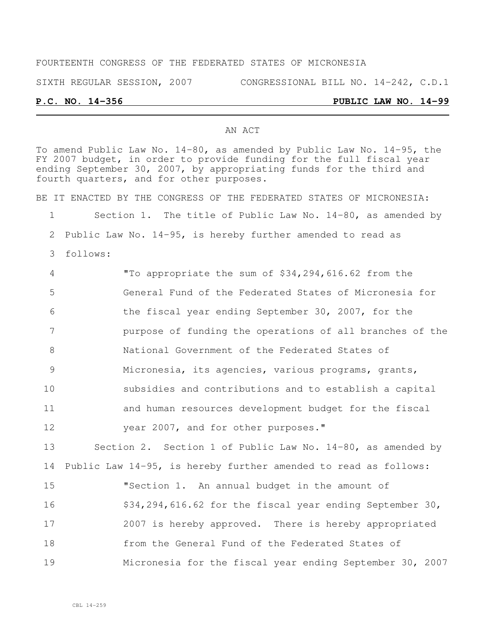# FOURTEENTH CONGRESS OF THE FEDERATED STATES OF MICRONESIA SIXTH REGULAR SESSION, 2007 CONGRESSIONAL BILL NO. 14-242, C.D.1

#### **P.C. NO. 14-356 PUBLIC LAW NO. 14-99**

#### AN ACT

To amend Public Law No. 14-80, as amended by Public Law No. 14-95, the FY 2007 budget, in order to provide funding for the full fiscal year ending September 30, 2007, by appropriating funds for the third and fourth quarters, and for other purposes.

BE IT ENACTED BY THE CONGRESS OF THE FEDERATED STATES OF MICRONESIA:

Section 1. The title of Public Law No. 14-80, as amended by

Public Law No. 14-95, is hereby further amended to read as

follows:

 "To appropriate the sum of \$34,294,616.62 from the General Fund of the Federated States of Micronesia for the fiscal year ending September 30, 2007, for the purpose of funding the operations of all branches of the National Government of the Federated States of Micronesia, its agencies, various programs, grants, subsidies and contributions and to establish a capital and human resources development budget for the fiscal year 2007, and for other purposes." Section 2. Section 1 of Public Law No. 14-80, as amended by Public Law 14-95, is hereby further amended to read as follows: "Section 1. An annual budget in the amount of 16 \$34,294,616.62 for the fiscal year ending September 30,

 2007 is hereby approved. There is hereby appropriated from the General Fund of the Federated States of Micronesia for the fiscal year ending September 30, 2007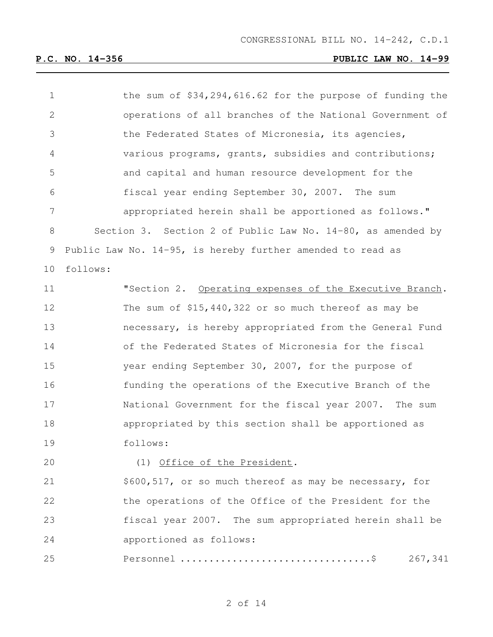| $\mathbf 1$  | the sum of $$34,294,616.62$ for the purpose of funding the  |
|--------------|-------------------------------------------------------------|
| $\mathbf{2}$ | operations of all branches of the National Government of    |
| 3            | the Federated States of Micronesia, its agencies,           |
| 4            | various programs, grants, subsidies and contributions;      |
| 5            | and capital and human resource development for the          |
| 6            | fiscal year ending September 30, 2007. The sum              |
| 7            | appropriated herein shall be apportioned as follows."       |
| 8            | Section 3. Section 2 of Public Law No. 14-80, as amended by |
| 9            | Public Law No. 14-95, is hereby further amended to read as  |
| 10           | follows:                                                    |
| 11           | "Section 2. Operating expenses of the Executive Branch.     |
| 12           | The sum of \$15,440,322 or so much thereof as may be        |
| 13           | necessary, is hereby appropriated from the General Fund     |
| 14           | of the Federated States of Micronesia for the fiscal        |
| 15           | year ending September 30, 2007, for the purpose of          |
| 16           | funding the operations of the Executive Branch of the       |
| 17           | National Government for the fiscal year 2007. The sum       |
| 18           | appropriated by this section shall be apportioned as        |
| 19           | follows:                                                    |
| 20           | (1) Office of the President.                                |
| 21           | \$600,517, or so much thereof as may be necessary, for      |
| 22           | the operations of the Office of the President for the       |
| 23           | fiscal year 2007. The sum appropriated herein shall be      |
| 24           | apportioned as follows:                                     |
| 25           | 267,341                                                     |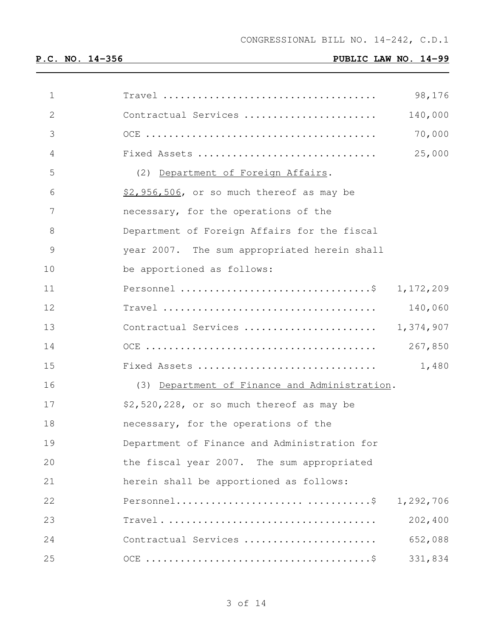| $\mathbf 1$  | $Travel \dots \dots \dots \dots \dots \dots \dots \dots \dots \dots \dots \dots \dots$<br>98,176 |  |
|--------------|--------------------------------------------------------------------------------------------------|--|
| $\mathbf{2}$ | Contractual Services<br>140,000                                                                  |  |
| 3            | 70,000                                                                                           |  |
| 4            | Fixed Assets<br>25,000                                                                           |  |
| 5            | (2) Department of Foreign Affairs.                                                               |  |
| 6            | \$2,956,506, or so much thereof as may be                                                        |  |
| 7            | necessary, for the operations of the                                                             |  |
| 8            | Department of Foreign Affairs for the fiscal                                                     |  |
| 9            | year 2007. The sum appropriated herein shall                                                     |  |
| 10           | be apportioned as follows:                                                                       |  |
| 11           | Personnel \$ 1,172,209                                                                           |  |
| 12           | $Travel \dots \dots \dots \dots \dots \dots \dots \dots \dots \dots \dots \dots$<br>140,060      |  |
| 13           | 1,374,907<br>Contractual Services                                                                |  |
| 14           | 267,850                                                                                          |  |
| 15           | 1,480<br>Fixed Assets                                                                            |  |
| 16           | (3) Department of Finance and Administration.                                                    |  |
| 17           | \$2,520,228, or so much thereof as may be                                                        |  |
| 18           | necessary, for the operations of the                                                             |  |
| 19           | Department of Finance and Administration for                                                     |  |
| 20           | the fiscal year 2007. The sum appropriated                                                       |  |
| 21           | herein shall be apportioned as follows:                                                          |  |
| 22           | 1,292,706                                                                                        |  |
| 23           | 202,400                                                                                          |  |
| 24           | 652,088<br>Contractual Services                                                                  |  |
| 25           | 331,834                                                                                          |  |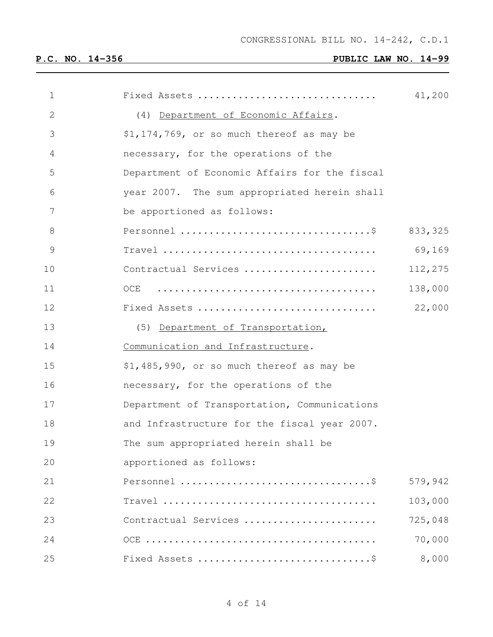| $\mathbf 1$   | Fixed Assets                                  | 41,200   |
|---------------|-----------------------------------------------|----------|
| $\mathbf{2}$  | (4) Department of Economic Affairs.           |          |
| 3             | \$1,174,769, or so much thereof as may be     |          |
| 4             | necessary, for the operations of the          |          |
| 5             | Department of Economic Affairs for the fiscal |          |
| 6             | year 2007. The sum appropriated herein shall  |          |
| 7             | be apportioned as follows:                    |          |
| 8             |                                               | 833, 325 |
| $\mathcal{G}$ |                                               | 69,169   |
| 10            | Contractual Services                          | 112,275  |
| 11            | OCE                                           | 138,000  |
| 12            | Fixed Assets                                  | 22,000   |
| 13            | (5) Department of Transportation,             |          |
| 14            | Communication and Infrastructure.             |          |
| 15            | \$1,485,990, or so much thereof as may be     |          |
| 16            | necessary, for the operations of the          |          |
| 17            | Department of Transportation, Communications  |          |
| 18            | and Infrastructure for the fiscal year 2007.  |          |
| 19            | The sum appropriated herein shall be          |          |
| 20            | apportioned as follows:                       |          |
| 21            |                                               | 579,942  |
| 22            |                                               | 103,000  |
| 23            | Contractual Services                          | 725,048  |
| 24            |                                               | 70,000   |
| 25            |                                               | 8,000    |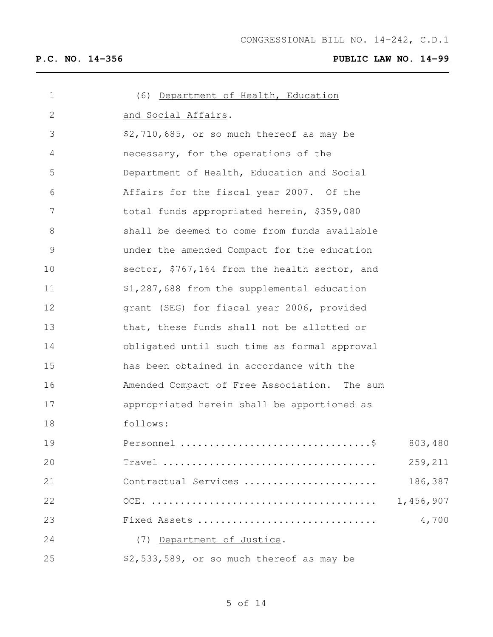| $\mathbf 1$    | (6) Department of Health, Education           |
|----------------|-----------------------------------------------|
| 2              | and Social Affairs.                           |
| 3              | \$2,710,685, or so much thereof as may be     |
| 4              | necessary, for the operations of the          |
| 5              | Department of Health, Education and Social    |
| 6              | Affairs for the fiscal year 2007. Of the      |
| $\overline{7}$ | total funds appropriated herein, \$359,080    |
| 8              | shall be deemed to come from funds available  |
| $\mathsf 9$    | under the amended Compact for the education   |
| 10             | sector, \$767,164 from the health sector, and |
| 11             | \$1,287,688 from the supplemental education   |
| 12             | grant (SEG) for fiscal year 2006, provided    |
| 13             | that, these funds shall not be allotted or    |
| 14             | obligated until such time as formal approval  |
| 15             | has been obtained in accordance with the      |
| 16             | Amended Compact of Free Association. The sum  |
| 17             | appropriated herein shall be apportioned as   |
| 18             | follows:                                      |
| 19             | 803,480                                       |
| 20             | 259,211                                       |
| 21             | 186,387<br>Contractual Services               |
| 22             | 1,456,907                                     |
| 23             | 4,700<br>Fixed Assets                         |
| 24             | (7) Department of Justice.                    |
| 25             | \$2,533,589, or so much thereof as may be     |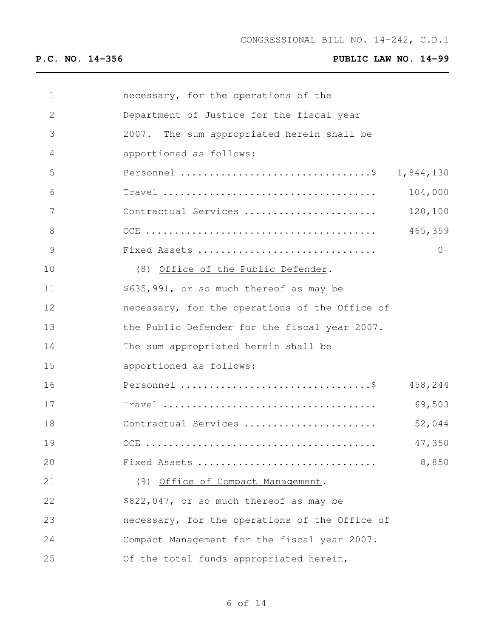| 1  | necessary, for the operations of the           |         |
|----|------------------------------------------------|---------|
| 2  | Department of Justice for the fiscal year      |         |
| 3  | 2007. The sum appropriated herein shall be     |         |
| 4  | apportioned as follows:                        |         |
| 5  | Personnel \$ 1,844,130                         |         |
| 6  |                                                | 104,000 |
| 7  | Contractual Services                           | 120,100 |
| 8  |                                                | 465,359 |
| 9  | Fixed Assets                                   | $-0-$   |
| 10 | (8) Office of the Public Defender.             |         |
| 11 | \$635,991, or so much thereof as may be        |         |
| 12 | necessary, for the operations of the Office of |         |
| 13 | the Public Defender for the fiscal year 2007.  |         |
| 14 | The sum appropriated herein shall be           |         |
| 15 | apportioned as follows:                        |         |
| 16 |                                                | 458,244 |
| 17 |                                                | 69,503  |
| 18 | Contractual Services                           | 52,044  |
| 19 |                                                | 47,350  |
| 20 | Fixed Assets                                   | 8,850   |
| 21 | (9) Office of Compact Management.              |         |
| 22 | \$822,047, or so much thereof as may be        |         |
| 23 | necessary, for the operations of the Office of |         |
| 24 | Compact Management for the fiscal year 2007.   |         |
| 25 | Of the total funds appropriated herein,        |         |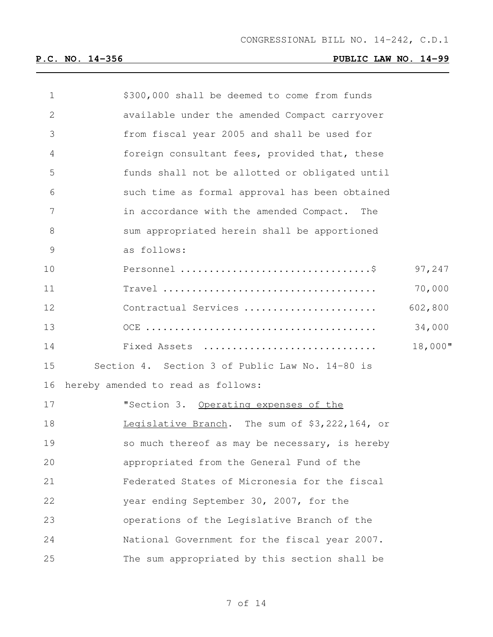| \$300,000 shall be deemed to come from funds    |         |
|-------------------------------------------------|---------|
| available under the amended Compact carryover   |         |
| from fiscal year 2005 and shall be used for     |         |
| foreign consultant fees, provided that, these   |         |
| funds shall not be allotted or obligated until  |         |
| such time as formal approval has been obtained  |         |
| in accordance with the amended Compact. The     |         |
| sum appropriated herein shall be apportioned    |         |
| as follows:                                     |         |
|                                                 | 97,247  |
|                                                 | 70,000  |
| Contractual Services                            | 602,800 |
|                                                 | 34,000  |
| Fixed Assets                                    | 18,000" |
| Section 4. Section 3 of Public Law No. 14-80 is |         |
| hereby amended to read as follows:              |         |
| "Section 3. Operating expenses of the           |         |
| Legislative Branch. The sum of \$3,222,164, or  |         |
| so much thereof as may be necessary, is hereby  |         |
| appropriated from the General Fund of the       |         |
| Federated States of Micronesia for the fiscal   |         |
| year ending September 30, 2007, for the         |         |
| operations of the Legislative Branch of the     |         |
| National Government for the fiscal year 2007.   |         |
| The sum appropriated by this section shall be   |         |
|                                                 |         |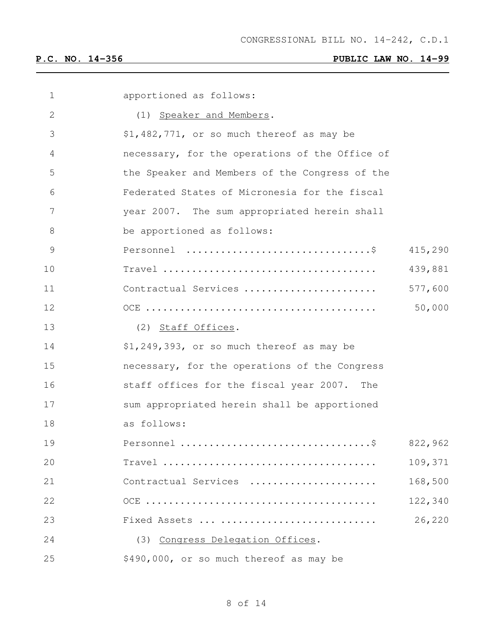| 1            | apportioned as follows:                                                          |         |
|--------------|----------------------------------------------------------------------------------|---------|
| $\mathbf{2}$ | (1) Speaker and Members.                                                         |         |
| 3            | \$1,482,771, or so much thereof as may be                                        |         |
| 4            | necessary, for the operations of the Office of                                   |         |
| 5            | the Speaker and Members of the Congress of the                                   |         |
| 6            | Federated States of Micronesia for the fiscal                                    |         |
| 7            | year 2007. The sum appropriated herein shall                                     |         |
| $8\,$        | be apportioned as follows:                                                       |         |
| 9            |                                                                                  | 415,290 |
| 10           | $Travel \dots \dots \dots \dots \dots \dots \dots \dots \dots \dots \dots \dots$ | 439,881 |
| 11           | Contractual Services                                                             | 577,600 |
| 12           |                                                                                  | 50,000  |
| 13           | (2) Staff Offices.                                                               |         |
| 14           | \$1,249,393, or so much thereof as may be                                        |         |
| 15           | necessary, for the operations of the Congress                                    |         |
| 16           | staff offices for the fiscal year 2007. The                                      |         |
| 17           | sum appropriated herein shall be apportioned                                     |         |
| 18           | as follows:                                                                      |         |
| 19           |                                                                                  | 822,962 |
| 20           |                                                                                  | 109,371 |
| 21           | Contractual Services                                                             | 168,500 |
| 22           |                                                                                  | 122,340 |
| 23           | Fixed Assets                                                                     | 26,220  |
| 24           | (3) Congress Delegation Offices.                                                 |         |
| 25           | \$490,000, or so much thereof as may be                                          |         |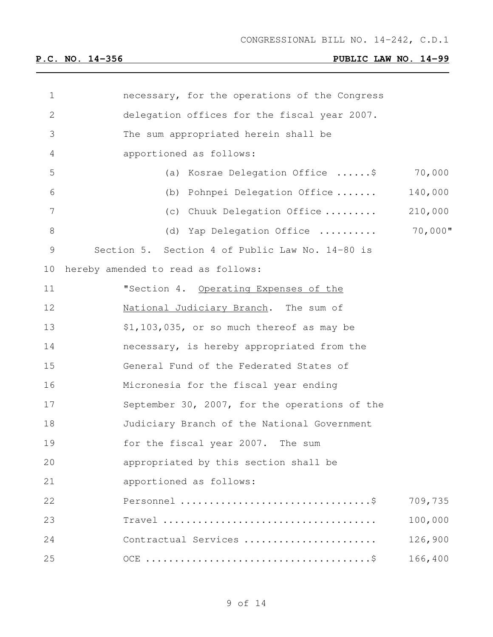| $\mathbf 1$   | necessary, for the operations of the Congress                                          |            |
|---------------|----------------------------------------------------------------------------------------|------------|
| $\mathbf{2}$  | delegation offices for the fiscal year 2007.                                           |            |
| 3             | The sum appropriated herein shall be                                                   |            |
| 4             | apportioned as follows:                                                                |            |
| 5             | (a) Kosrae Delegation Office \$                                                        | 70,000     |
| 6             | (b) Pohnpei Delegation Office                                                          | 140,000    |
| 7             | (c) Chuuk Delegation Office                                                            | 210,000    |
| $8\,$         | (d) Yap Delegation Office                                                              | $70,000$ " |
| $\mathcal{G}$ | Section 5. Section 4 of Public Law No. 14-80 is                                        |            |
| 10            | hereby amended to read as follows:                                                     |            |
| 11            | "Section 4. Operating Expenses of the                                                  |            |
| 12            | National Judiciary Branch. The sum of                                                  |            |
| 13            | \$1,103,035, or so much thereof as may be                                              |            |
| 14            | necessary, is hereby appropriated from the                                             |            |
| 15            | General Fund of the Federated States of                                                |            |
| 16            | Micronesia for the fiscal year ending                                                  |            |
| 17            | September 30, 2007, for the operations of the                                          |            |
| 18            | Judiciary Branch of the National Government                                            |            |
| 19            | for the fiscal year 2007. The sum                                                      |            |
| 20            | appropriated by this section shall be                                                  |            |
| 21            | apportioned as follows:                                                                |            |
| 22            |                                                                                        | 709,735    |
| 23            | $Travel \dots \dots \dots \dots \dots \dots \dots \dots \dots \dots \dots \dots \dots$ | 100,000    |
| 24            | Contractual Services                                                                   | 126,900    |
| 25            |                                                                                        | 166,400    |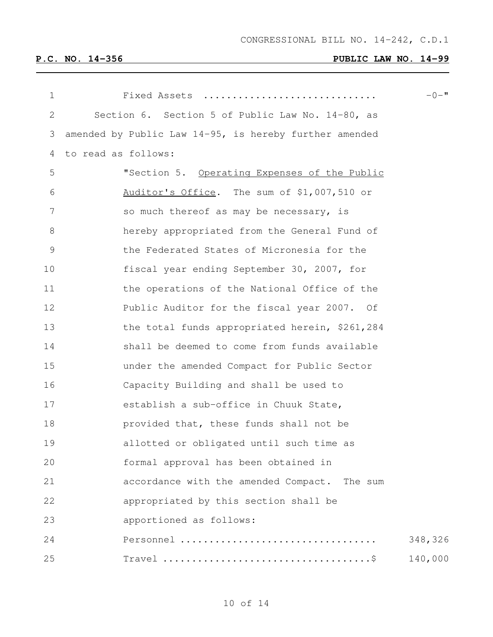| $\mathbf 1$ | Fixed Assets                                           | $-0 -$ " |
|-------------|--------------------------------------------------------|----------|
| 2           | Section 6. Section 5 of Public Law No. 14-80, as       |          |
| 3           | amended by Public Law 14-95, is hereby further amended |          |
| 4           | to read as follows:                                    |          |
| 5           | "Section 5. Operating Expenses of the Public           |          |
| 6           | Auditor's Office. The sum of \$1,007,510 or            |          |
| 7           | so much thereof as may be necessary, is                |          |
| 8           | hereby appropriated from the General Fund of           |          |
| 9           | the Federated States of Micronesia for the             |          |
| 10          | fiscal year ending September 30, 2007, for             |          |
| 11          | the operations of the National Office of the           |          |
| 12          | Public Auditor for the fiscal year 2007. Of            |          |
| 13          | the total funds appropriated herein, \$261,284         |          |
| 14          | shall be deemed to come from funds available           |          |
| 15          | under the amended Compact for Public Sector            |          |
| 16          | Capacity Building and shall be used to                 |          |
| 17          | establish a sub-office in Chuuk State,                 |          |
| 18          | provided that, these funds shall not be                |          |
| 19          | allotted or obligated until such time as               |          |
| 20          | formal approval has been obtained in                   |          |
| 21          | accordance with the amended Compact. The sum           |          |
| 22          | appropriated by this section shall be                  |          |
| 23          | apportioned as follows:                                |          |
| 24          |                                                        | 348,326  |
| 25          |                                                        | 140,000  |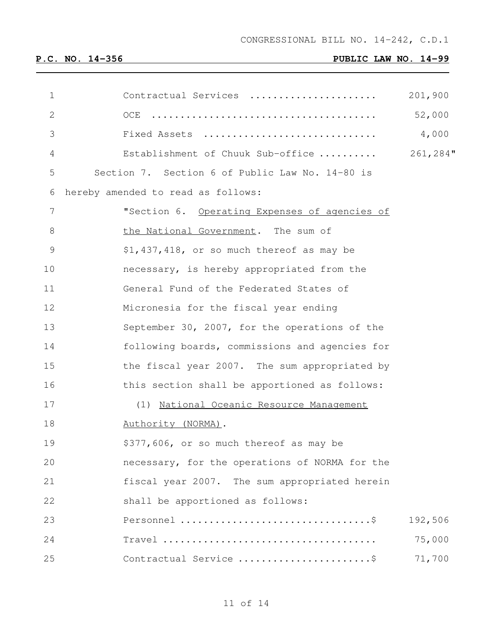| 1             | Contractual Services                            | 201,900  |
|---------------|-------------------------------------------------|----------|
| $\mathbf{2}$  | OCE                                             | 52,000   |
| 3             | Fixed Assets                                    | 4,000    |
| 4             | Establishment of Chuuk Sub-office               | 261,284" |
| 5             | Section 7. Section 6 of Public Law No. 14-80 is |          |
| 6             | hereby amended to read as follows:              |          |
| 7             | "Section 6. Operating Expenses of agencies of   |          |
| 8             | the National Government. The sum of             |          |
| $\mathcal{G}$ | \$1,437,418, or so much thereof as may be       |          |
| 10            | necessary, is hereby appropriated from the      |          |
| 11            | General Fund of the Federated States of         |          |
| 12            | Micronesia for the fiscal year ending           |          |
| 13            | September 30, 2007, for the operations of the   |          |
| 14            | following boards, commissions and agencies for  |          |
| 15            | the fiscal year 2007. The sum appropriated by   |          |
| 16            | this section shall be apportioned as follows:   |          |
| 17            | (1) National Oceanic Resource Management        |          |
| 18            | Authority (NORMA).                              |          |
| 19            | \$377,606, or so much thereof as may be         |          |
| 20            | necessary, for the operations of NORMA for the  |          |
| 21            | fiscal year 2007. The sum appropriated herein   |          |
| 22            | shall be apportioned as follows:                |          |
| 23            |                                                 | 192,506  |
| 24            |                                                 | 75,000   |
| 25            | Contractual Service \$                          | 71,700   |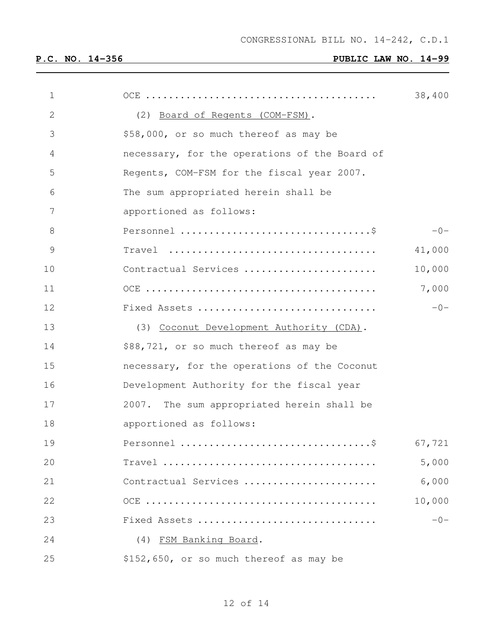CONGRESSIONAL BILL NO. 14-242, C.D.1

| $\mathbf 1$    |                                               | 38,400 |
|----------------|-----------------------------------------------|--------|
| $\overline{2}$ | (2) Board of Regents (COM-FSM).               |        |
| 3              | \$58,000, or so much thereof as may be        |        |
| 4              | necessary, for the operations of the Board of |        |
| 5              | Regents, COM-FSM for the fiscal year 2007.    |        |
| 6              | The sum appropriated herein shall be          |        |
| 7              | apportioned as follows:                       |        |
| 8              |                                               | $-0-$  |
| $\mathsf 9$    |                                               | 41,000 |
| 10             | Contractual Services                          | 10,000 |
| 11             |                                               | 7,000  |
| 12             | Fixed Assets                                  | $-0-$  |
| 13             | (3) Coconut Development Authority (CDA).      |        |
| 14             | \$88,721, or so much thereof as may be        |        |
| 15             | necessary, for the operations of the Coconut  |        |
| 16             | Development Authority for the fiscal year     |        |
| 17             | 2007. The sum appropriated herein shall be    |        |
| 18             | apportioned as follows:                       |        |
| 19             |                                               | 67,721 |
| 20             |                                               | 5,000  |
| 21             | Contractual Services                          | 6,000  |
| 22             |                                               | 10,000 |
| 23             | Fixed Assets                                  | $-0-$  |
| 24             | (4) FSM Banking Board.                        |        |
| 25             | \$152,650, or so much thereof as may be       |        |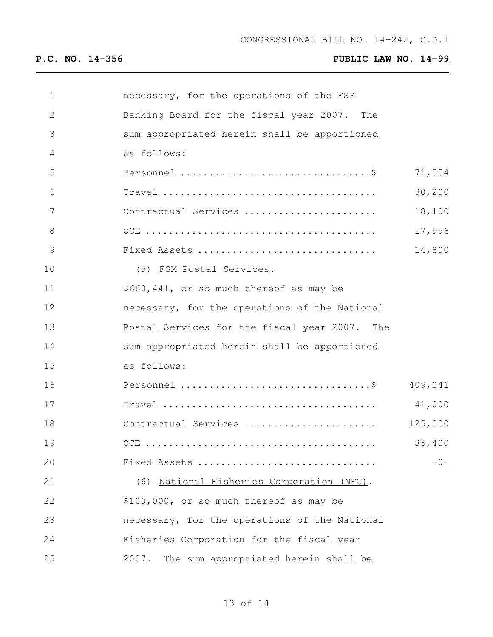| 1            | necessary, for the operations of the FSM      |         |
|--------------|-----------------------------------------------|---------|
| $\mathbf{2}$ | Banking Board for the fiscal year 2007. The   |         |
| 3            | sum appropriated herein shall be apportioned  |         |
| 4            | as follows:                                   |         |
| 5            |                                               | 71,554  |
| 6            |                                               | 30,200  |
| 7            | Contractual Services                          | 18,100  |
| 8            |                                               | 17,996  |
| 9            | Fixed Assets                                  | 14,800  |
| 10           | (5) FSM Postal Services.                      |         |
| 11           | \$660,441, or so much thereof as may be       |         |
| 12           | necessary, for the operations of the National |         |
| 13           | Postal Services for the fiscal year 2007. The |         |
| 14           | sum appropriated herein shall be apportioned  |         |
| 15           | as follows:                                   |         |
| 16           |                                               | 409,041 |
| 17           |                                               | 41,000  |
| 18           | Contractual Services                          | 125,000 |
| 19           |                                               | 85,400  |
| 20           | Fixed Assets                                  | $-0-$   |
| 21           | (6) National Fisheries Corporation (NFC).     |         |
| 22           | \$100,000, or so much thereof as may be       |         |
| 23           | necessary, for the operations of the National |         |
| 24           | Fisheries Corporation for the fiscal year     |         |
| 25           | 2007.<br>The sum appropriated herein shall be |         |